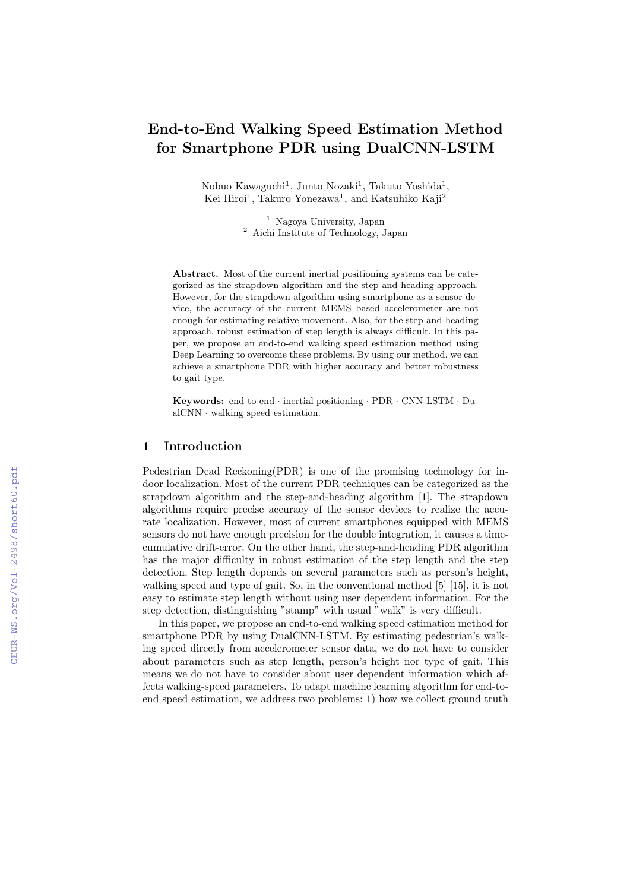# **End-to-End Walking Speed Estimation Method for Smartphone PDR using DualCNN-LSTM**

Nobuo Kawaguchi<sup>1</sup>, Junto Nozaki<sup>1</sup>, Takuto Yoshida<sup>1</sup>, Kei Hiroi<sup>1</sup>, Takuro Yonezawa<sup>1</sup>, and Katsuhiko Kaji<sup>2</sup>

> <sup>1</sup> Nagoya University, Japan <sup>2</sup> Aichi Institute of Technology, Japan

Abstract. Most of the current inertial positioning systems can be categorized as the strapdown algorithm and the step-and-heading approach. However, for the strapdown algorithm using smartphone as a sensor device, the accuracy of the current MEMS based accelerometer are not enough for estimating relative movement. Also, for the step-and-heading approach, robust estimation of step length is always difficult. In this paper, we propose an end-to-end walking speed estimation method using Deep Learning to overcome these problems. By using our method, we can achieve a smartphone PDR with higher accuracy and better robustness to gait type.

**Keywords:** end-to-end *·* inertial positioning *·* PDR *·* CNN-LSTM *·* DualCNN *·* walking speed estimation.

## **1 Introduction**

Pedestrian Dead Reckoning(PDR) is one of the promising technology for indoor localization. Most of the current PDR techniques can be categorized as the strapdown algorithm and the step-and-heading algorithm [1]. The strapdown algorithms require precise accuracy of the sensor devices to realize the accurate localization. However, most of current smartphones equipped with MEMS sensors do not have enough precision for the double integration, it causes a timecumulative drift-error. On the other hand, the step-and-heading PDR algorithm has the major difficulty in robust estimation of the step length and the step detection. Step length depends on several parameters such as person's height, walking speed and type of gait. So, in the conventional method [5] [15], it is not easy to estimate step length without using user dependent information. For the step detection, distinguishing "stamp" with usual "walk" is very difficult.

In this paper, we propose an end-to-end walking speed estimation method for smartphone PDR by using DualCNN-LSTM. By estimating pedestrian's walking speed directly from accelerometer sensor data, we do not have to consider about parameters such as step length, person's height nor type of gait. This means we do not have to consider about user dependent information which affects walking-speed parameters. To adapt machine learning algorithm for end-toend speed estimation, we address two problems: 1) how we collect ground truth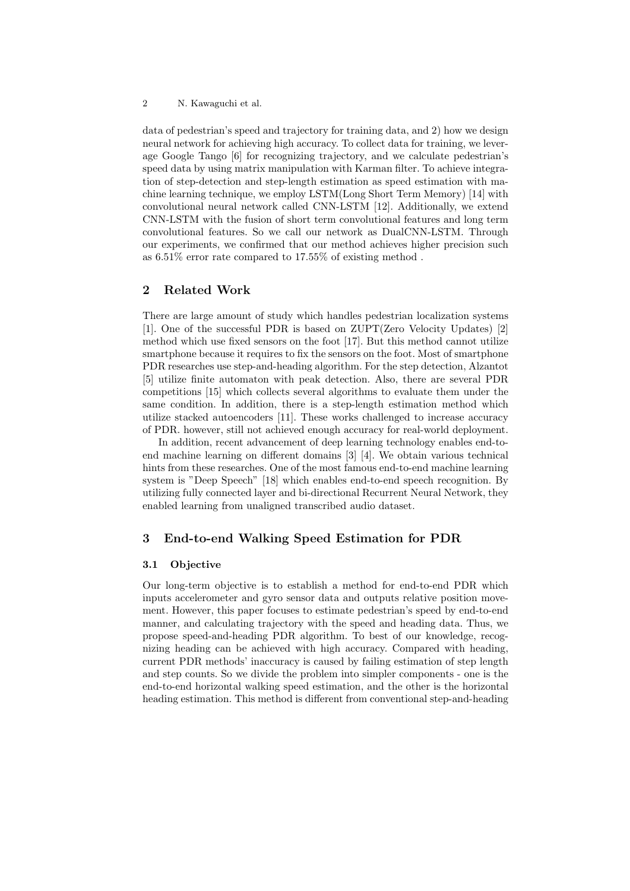#### 2 N. Kawaguchi et al.

data of pedestrian's speed and trajectory for training data, and 2) how we design neural network for achieving high accuracy. To collect data for training, we leverage Google Tango [6] for recognizing trajectory, and we calculate pedestrian's speed data by using matrix manipulation with Karman filter. To achieve integration of step-detection and step-length estimation as speed estimation with machine learning technique, we employ LSTM(Long Short Term Memory) [14] with convolutional neural network called CNN-LSTM [12]. Additionally, we extend CNN-LSTM with the fusion of short term convolutional features and long term convolutional features. So we call our network as DualCNN-LSTM. Through our experiments, we confirmed that our method achieves higher precision such as 6.51% error rate compared to 17.55% of existing method .

# **2 Related Work**

There are large amount of study which handles pedestrian localization systems [1]. One of the successful PDR is based on ZUPT(Zero Velocity Updates) [2] method which use fixed sensors on the foot [17]. But this method cannot utilize smartphone because it requires to fix the sensors on the foot. Most of smartphone PDR researches use step-and-heading algorithm. For the step detection, Alzantot [5] utilize finite automaton with peak detection. Also, there are several PDR competitions [15] which collects several algorithms to evaluate them under the same condition. In addition, there is a step-length estimation method which utilize stacked autoencoders [11]. These works challenged to increase accuracy of PDR. however, still not achieved enough accuracy for real-world deployment.

In addition, recent advancement of deep learning technology enables end-toend machine learning on different domains [3] [4]. We obtain various technical hints from these researches. One of the most famous end-to-end machine learning system is "Deep Speech" [18] which enables end-to-end speech recognition. By utilizing fully connected layer and bi-directional Recurrent Neural Network, they enabled learning from unaligned transcribed audio dataset.

# **3 End-to-end Walking Speed Estimation for PDR**

## **3.1 Objective**

Our long-term objective is to establish a method for end-to-end PDR which inputs accelerometer and gyro sensor data and outputs relative position movement. However, this paper focuses to estimate pedestrian's speed by end-to-end manner, and calculating trajectory with the speed and heading data. Thus, we propose speed-and-heading PDR algorithm. To best of our knowledge, recognizing heading can be achieved with high accuracy. Compared with heading, current PDR methods' inaccuracy is caused by failing estimation of step length and step counts. So we divide the problem into simpler components - one is the end-to-end horizontal walking speed estimation, and the other is the horizontal heading estimation. This method is different from conventional step-and-heading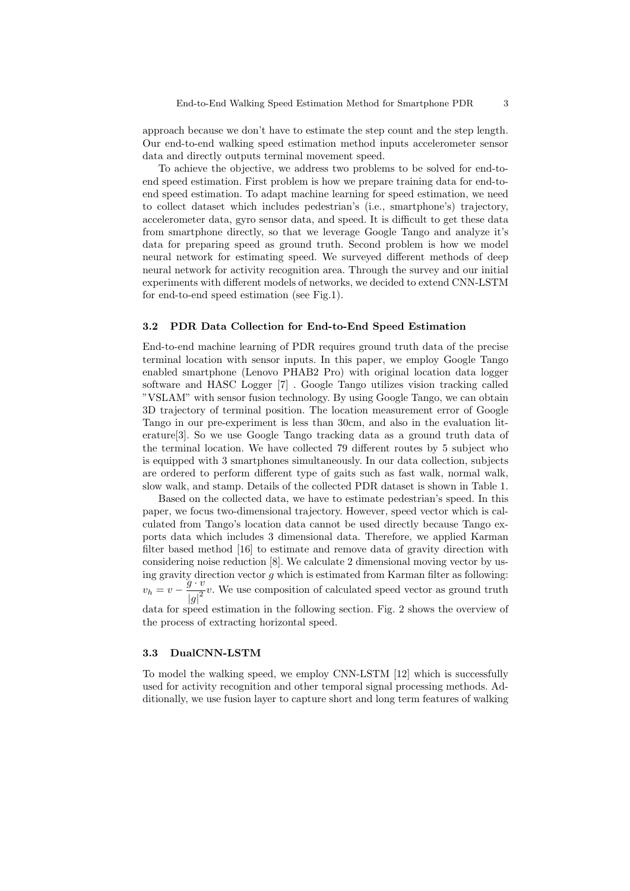approach because we don't have to estimate the step count and the step length. Our end-to-end walking speed estimation method inputs accelerometer sensor data and directly outputs terminal movement speed.

To achieve the objective, we address two problems to be solved for end-toend speed estimation. First problem is how we prepare training data for end-toend speed estimation. To adapt machine learning for speed estimation, we need to collect dataset which includes pedestrian's (i.e., smartphone's) trajectory, accelerometer data, gyro sensor data, and speed. It is difficult to get these data from smartphone directly, so that we leverage Google Tango and analyze it's data for preparing speed as ground truth. Second problem is how we model neural network for estimating speed. We surveyed different methods of deep neural network for activity recognition area. Through the survey and our initial experiments with different models of networks, we decided to extend CNN-LSTM for end-to-end speed estimation (see Fig.1).

#### **3.2 PDR Data Collection for End-to-End Speed Estimation**

End-to-end machine learning of PDR requires ground truth data of the precise terminal location with sensor inputs. In this paper, we employ Google Tango enabled smartphone (Lenovo PHAB2 Pro) with original location data logger software and HASC Logger [7] . Google Tango utilizes vision tracking called "VSLAM" with sensor fusion technology. By using Google Tango, we can obtain 3D trajectory of terminal position. The location measurement error of Google Tango in our pre-experiment is less than 30cm, and also in the evaluation literature[3]. So we use Google Tango tracking data as a ground truth data of the terminal location. We have collected 79 different routes by 5 subject who is equipped with 3 smartphones simultaneously. In our data collection, subjects are ordered to perform different type of gaits such as fast walk, normal walk, slow walk, and stamp. Details of the collected PDR dataset is shown in Table 1.

Based on the collected data, we have to estimate pedestrian's speed. In this paper, we focus two-dimensional trajectory. However, speed vector which is calculated from Tango's location data cannot be used directly because Tango exports data which includes 3 dimensional data. Therefore, we applied Karman filter based method [16] to estimate and remove data of gravity direction with considering noise reduction [8]. We calculate 2 dimensional moving vector by using gravity direction vector *g* which is estimated from Karman filter as following:  $v_h = v - \frac{g \cdot v}{|v|^2}$  $\frac{g}{|g|^2}v$ . We use composition of calculated speed vector as ground truth

data for speed estimation in the following section. Fig. 2 shows the overview of the process of extracting horizontal speed.

## **3.3 DualCNN-LSTM**

To model the walking speed, we employ CNN-LSTM [12] which is successfully used for activity recognition and other temporal signal processing methods. Additionally, we use fusion layer to capture short and long term features of walking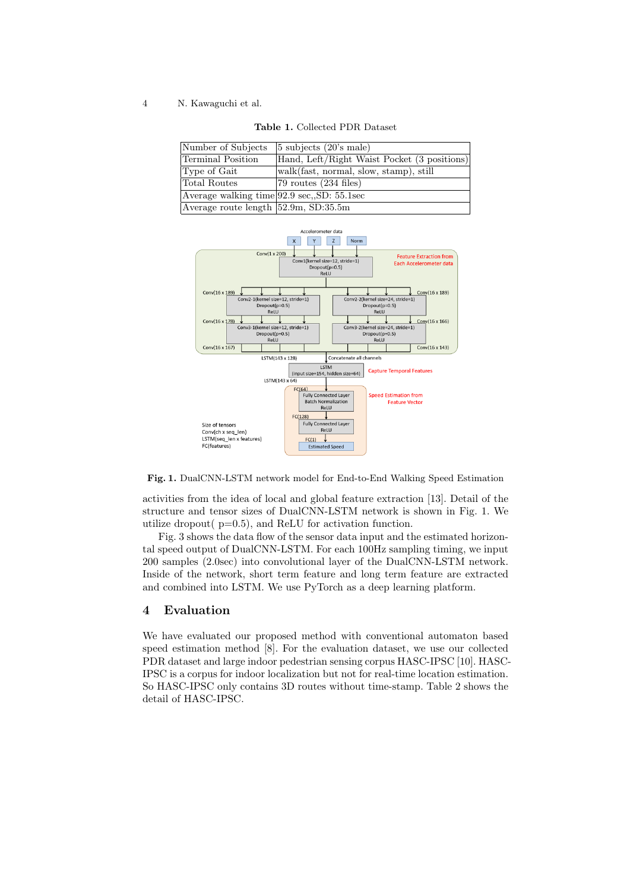4 N. Kawaguchi et al.

| Number of Subjects                                             | $5 \text{ subjects } (20) \text{'s male}$   |
|----------------------------------------------------------------|---------------------------------------------|
| Terminal Position                                              | Hand, Left/Right Waist Pocket (3 positions) |
| Type of Gait                                                   | walk(fast, normal, slow, stamp), still      |
| Total Routes                                                   | $ 79 \text{ routes} (234 \text{ files})$    |
| Average walking time $ 92.9 \text{ sec.}, SD: 55.1 \text{sec}$ |                                             |
| Average route length $52.9m$ , SD:35.5m                        |                                             |

**Table 1.** Collected PDR Dataset



**Fig. 1.** DualCNN-LSTM network model for End-to-End Walking Speed Estimation

activities from the idea of local and global feature extraction [13]. Detail of the structure and tensor sizes of DualCNN-LSTM network is shown in Fig. 1. We utilize dropout( $p=0.5$ ), and ReLU for activation function.

Fig. 3 shows the data flow of the sensor data input and the estimated horizontal speed output of DualCNN-LSTM. For each 100Hz sampling timing, we input 200 samples (2.0sec) into convolutional layer of the DualCNN-LSTM network. Inside of the network, short term feature and long term feature are extracted and combined into LSTM. We use PyTorch as a deep learning platform.

## **4 Evaluation**

We have evaluated our proposed method with conventional automaton based speed estimation method [8]. For the evaluation dataset, we use our collected PDR dataset and large indoor pedestrian sensing corpus HASC-IPSC [10]. HASC-IPSC is a corpus for indoor localization but not for real-time location estimation. So HASC-IPSC only contains 3D routes without time-stamp. Table 2 shows the detail of HASC-IPSC.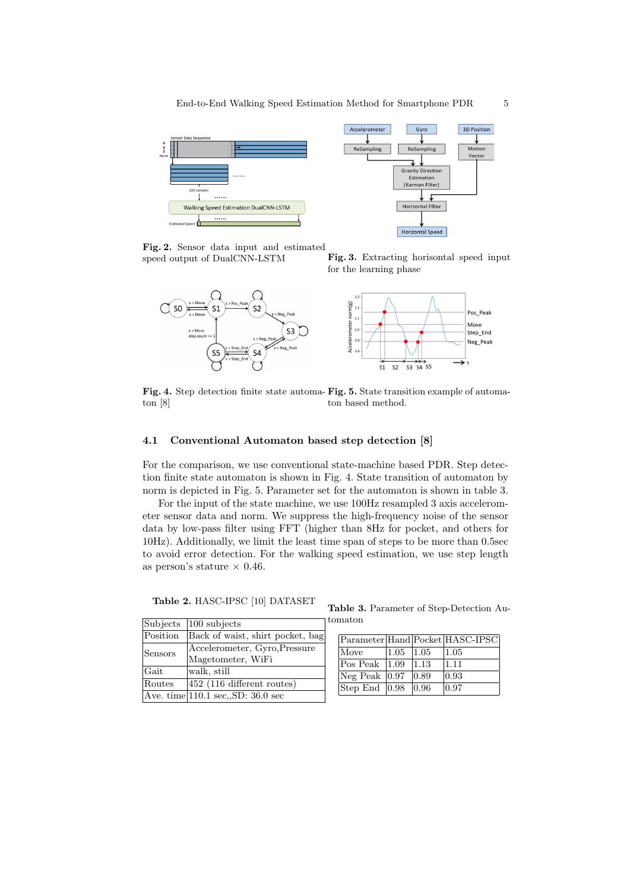

**Fig. 2.** Sensor data input and estimated speed output of DualCNN-LSTM **Fig. 3.** Extracting horisontal speed input





**Fig. 4.** Step detection finite state automa-**Fig. 5.** State transition example of automaton [8] ton based method.

#### **4.1 Conventional Automaton based step detection [8]**

For the comparison, we use conventional state-machine based PDR. Step detection finite state automaton is shown in Fig. 4. State transition of automaton by norm is depicted in Fig. 5. Parameter set for the automaton is shown in table 3.

For the input of the state machine, we use 100Hz resampled 3 axis accelerometer sensor data and norm. We suppress the high-frequency noise of the sensor data by low-pass filter using FFT (higher than 8Hz for pocket, and others for 10Hz). Additionally, we limit the least time span of steps to be more than 0.5sec to avoid error detection. For the walking speed estimation, we use step length as person's stature  $\times$  0.46.

**Table 2.** HASC-IPSC [10] DATASET

| Subjects    | $ 100 \text{ subjects} $          |
|-------------|-----------------------------------|
| Position    | Back of waist, shirt pocket, bag  |
| Sensors     | Accelerometer, Gyro, Pressure     |
|             | Magetometer, WiFi                 |
| <b>Gait</b> | walk, still                       |
| Routes      | 452 (116 different routes)        |
|             | Ave. time 110.1 sec, SD: 36.0 sec |

**Table 3.** Parameter of Step-Detection Automaton

|                                                |      |                | Parameter Hand Pocket HASC-IPSC |
|------------------------------------------------|------|----------------|---------------------------------|
| Move                                           | 1.05 | $ 1.05\rangle$ | 1.05                            |
| $\vert \text{Pos Peak} \vert \vert 1.09 \vert$ |      | 11.13          | 1.11                            |
| $Neg$ Peak $ 0.97 $                            |      | $ 0.89\rangle$ | 0.93                            |
| $\sqrt{\text{Step End } 0.98}$ 0.96            |      |                | 0.97                            |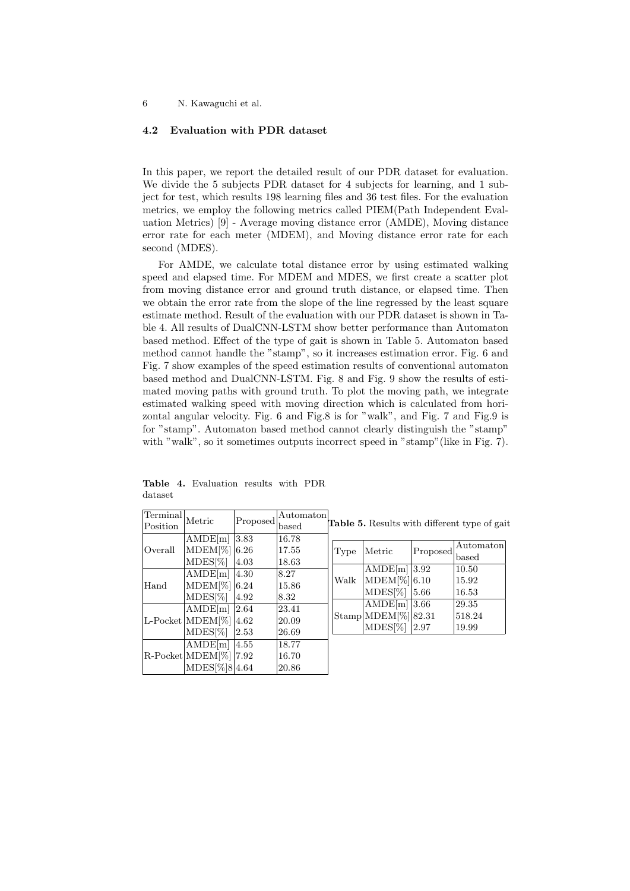6 N. Kawaguchi et al.

## **4.2 Evaluation with PDR dataset**

In this paper, we report the detailed result of our PDR dataset for evaluation. We divide the 5 subjects PDR dataset for 4 subjects for learning, and 1 subject for test, which results 198 learning files and 36 test files. For the evaluation metrics, we employ the following metrics called PIEM(Path Independent Evaluation Metrics) [9] - Average moving distance error (AMDE), Moving distance error rate for each meter (MDEM), and Moving distance error rate for each second (MDES).

For AMDE, we calculate total distance error by using estimated walking speed and elapsed time. For MDEM and MDES, we first create a scatter plot from moving distance error and ground truth distance, or elapsed time. Then we obtain the error rate from the slope of the line regressed by the least square estimate method. Result of the evaluation with our PDR dataset is shown in Table 4. All results of DualCNN-LSTM show better performance than Automaton based method. Effect of the type of gait is shown in Table 5. Automaton based method cannot handle the "stamp", so it increases estimation error. Fig. 6 and Fig. 7 show examples of the speed estimation results of conventional automaton based method and DualCNN-LSTM. Fig. 8 and Fig. 9 show the results of estimated moving paths with ground truth. To plot the moving path, we integrate estimated walking speed with moving direction which is calculated from horizontal angular velocity. Fig. 6 and Fig.8 is for "walk", and Fig. 7 and Fig.9 is for "stamp". Automaton based method cannot clearly distinguish the "stamp" with "walk", so it sometimes outputs incorrect speed in "stamp" (like in Fig. 7).

| Terminal                        |                              |                | Automaton               |                                                     |                                         |                |                   |  |  |
|---------------------------------|------------------------------|----------------|-------------------------|-----------------------------------------------------|-----------------------------------------|----------------|-------------------|--|--|
| Position                        | Metric                       | Proposed       | based                   | <b>Table 5.</b> Results with different type of gait |                                         |                |                   |  |  |
|                                 | AMDE[m]                      | 3.83           | 16.78                   |                                                     |                                         |                |                   |  |  |
| Overall                         | $MDEM[\%]   6.26$            |                | 17.55                   | Type                                                | Metric                                  | Proposed       | Automaton         |  |  |
|                                 | $MDES[\%]$                   | 4.03           | 18.63                   |                                                     |                                         |                | $_{\text{based}}$ |  |  |
| Hand<br>$L$ -Pocket $ MDEM[\%]$ | AMDE[m]                      | 4.30           | 8.27                    | Walk                                                | AMDE[m]                                 | $ 3.92\rangle$ | 10.50             |  |  |
|                                 | $MDEM[\%]$ 6.24              |                | 15.86                   |                                                     | MDEM[%] 6.10                            |                | 15.92             |  |  |
|                                 | $MDES[\%]$                   | 4.92           | 18.32<br>23.41<br>20.09 |                                                     | $MDES[\%]$                              | 5.66           | 16.53             |  |  |
|                                 |                              | 2.64           |                         |                                                     | AMDE $[m]$ 3.66                         |                | 29.35             |  |  |
|                                 | AMDE[m]                      |                |                         |                                                     | $ \text{Stamp}  \text{MDEM}[\%]  82.31$ |                | 518.24            |  |  |
|                                 |                              | $ 4.62\rangle$ |                         |                                                     | $MDES[\%]$                              | 2.97           | 19.99             |  |  |
|                                 | $MDES[\%]$                   | 2.53           | 26.69                   |                                                     |                                         |                |                   |  |  |
|                                 | AMDE[m]                      | 4.55           | 18.77                   |                                                     |                                         |                |                   |  |  |
|                                 | $R$ -Pocket MDEM $[\%]$ 7.92 |                | 16.70                   |                                                     |                                         |                |                   |  |  |
|                                 | MDES[%]8 4.64                |                | 20.86                   |                                                     |                                         |                |                   |  |  |

**Table 4.** Evaluation results with PDR dataset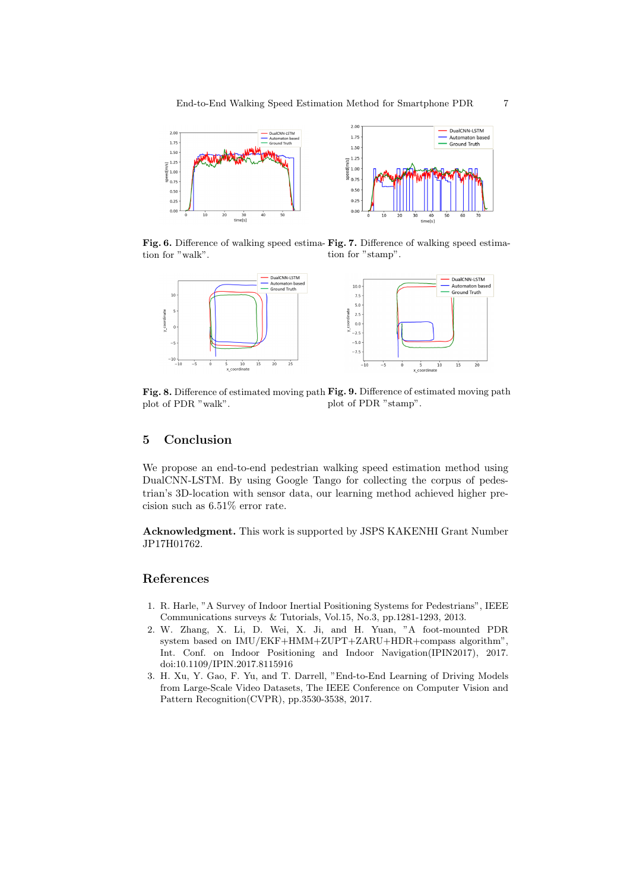

**Fig. 6.** Difference of walking speed estima-**Fig. 7.** Difference of walking speed estimation for "walk". tion for "stamp".



**Fig. 8.** Difference of estimated moving path **Fig. 9.** Difference of estimated moving path plot of PDR "walk". plot of PDR "stamp".

# **5 Conclusion**

We propose an end-to-end pedestrian walking speed estimation method using DualCNN-LSTM. By using Google Tango for collecting the corpus of pedestrian's 3D-location with sensor data, our learning method achieved higher precision such as 6.51% error rate.

**Acknowledgment.** This work is supported by JSPS KAKENHI Grant Number JP17H01762.

## **References**

- 1. R. Harle, "A Survey of Indoor Inertial Positioning Systems for Pedestrians", IEEE Communications surveys & Tutorials, Vol.15, No.3, pp.1281-1293, 2013.
- 2. W. Zhang, X. Li, D. Wei, X. Ji, and H. Yuan, "A foot-mounted PDR system based on IMU/EKF+HMM+ZUPT+ZARU+HDR+compass algorithm", Int. Conf. on Indoor Positioning and Indoor Navigation(IPIN2017), 2017. doi:10.1109/IPIN.2017.8115916
- 3. H. Xu, Y. Gao, F. Yu, and T. Darrell, "End-to-End Learning of Driving Models from Large-Scale Video Datasets, The IEEE Conference on Computer Vision and Pattern Recognition(CVPR), pp.3530-3538, 2017.